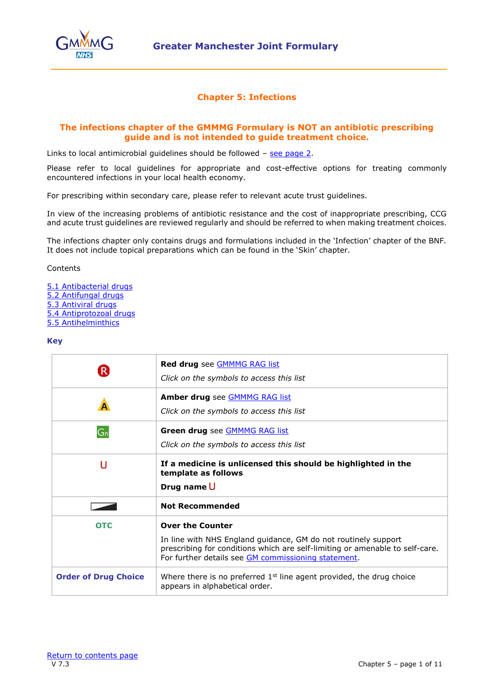

# **Chapter 5: Infections**

## **The infections chapter of the GMMMG Formulary is NOT an antibiotic prescribing guide and is not intended to guide treatment choice.**

Links to local antimicrobial guidelines should be followed – [see page 2.](#page-1-0)

Please refer to local guidelines for appropriate and cost-effective options for treating commonly encountered infections in your local health economy.

For prescribing within secondary care, please refer to relevant acute trust guidelines.

In view of the increasing problems of antibiotic resistance and the cost of inappropriate prescribing, CCG and acute trust guidelines are reviewed regularly and should be referred to when making treatment choices.

The infections chapter only contains drugs and formulations included in the 'Infection' chapter of the BNF. It does not include topical preparations which can be found in the 'Skin' chapter.

<span id="page-0-0"></span>Contents

[5.1 Antibacterial drugs](#page-1-0) [5.2 Antifungal drugs](#page-4-0) [5.3 Antiviral drugs](#page-5-0) [5.4 Antiprotozoal drugs](#page-9-0) [5.5 Antihelminthics](#page-10-0)

#### **Key**

| $\left[ \mathsf{R}\right]$  | <b>Red drug</b> see <b>GMMMG</b> RAG list                                                                                                                                                             |  |  |
|-----------------------------|-------------------------------------------------------------------------------------------------------------------------------------------------------------------------------------------------------|--|--|
|                             | Click on the symbols to access this list                                                                                                                                                              |  |  |
|                             | Amber drug see GMMMG RAG list                                                                                                                                                                         |  |  |
|                             | Click on the symbols to access this list                                                                                                                                                              |  |  |
| $G_n$                       | Green drug see <b>GMMMG RAG list</b>                                                                                                                                                                  |  |  |
|                             | Click on the symbols to access this list                                                                                                                                                              |  |  |
| U                           | If a medicine is unlicensed this should be highlighted in the<br>template as follows                                                                                                                  |  |  |
|                             | Drug name U                                                                                                                                                                                           |  |  |
|                             | <b>Not Recommended</b>                                                                                                                                                                                |  |  |
| <b>OTC</b>                  | <b>Over the Counter</b>                                                                                                                                                                               |  |  |
|                             | In line with NHS England guidance, GM do not routinely support<br>prescribing for conditions which are self-limiting or amenable to self-care.<br>For further details see GM commissioning statement. |  |  |
| <b>Order of Drug Choice</b> | Where there is no preferred $1st$ line agent provided, the drug choice<br>appears in alphabetical order.                                                                                              |  |  |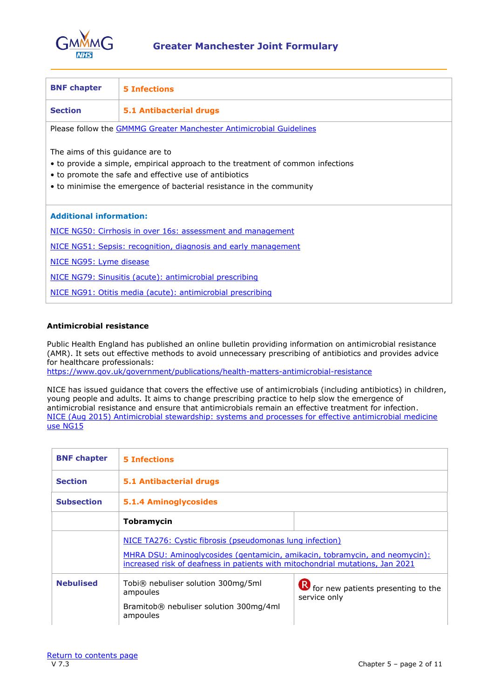

<span id="page-1-0"></span>

| <b>BNF chapter</b>                                                                                                                                                                                                                                    | <b>5 Infections</b>                                                        |  |
|-------------------------------------------------------------------------------------------------------------------------------------------------------------------------------------------------------------------------------------------------------|----------------------------------------------------------------------------|--|
| <b>Section</b>                                                                                                                                                                                                                                        | <b>5.1 Antibacterial drugs</b>                                             |  |
|                                                                                                                                                                                                                                                       | Please follow the <b>GMMMG Greater Manchester Antimicrobial Guidelines</b> |  |
| The aims of this guidance are to<br>• to provide a simple, empirical approach to the treatment of common infections<br>• to promote the safe and effective use of antibiotics<br>• to minimise the emergence of bacterial resistance in the community |                                                                            |  |
| <b>Additional information:</b>                                                                                                                                                                                                                        |                                                                            |  |
| NICE NG50: Cirrhosis in over 16s: assessment and management                                                                                                                                                                                           |                                                                            |  |
| NICE NG51: Sepsis: recognition, diagnosis and early management                                                                                                                                                                                        |                                                                            |  |
| NICE NG95: Lyme disease                                                                                                                                                                                                                               |                                                                            |  |
| NICE NG79: Sinusitis (acute): antimicrobial prescribing                                                                                                                                                                                               |                                                                            |  |
| NICE NG91: Otitis media (acute): antimicrobial prescribing                                                                                                                                                                                            |                                                                            |  |

### **Antimicrobial resistance**

Public Health England has published an online bulletin providing information on antimicrobial resistance (AMR). It sets out effective methods to avoid unnecessary prescribing of antibiotics and provides advice for healthcare professionals:

<https://www.gov.uk/government/publications/health-matters-antimicrobial-resistance>

NICE has issued guidance that covers the effective use of antimicrobials (including antibiotics) in children, young people and adults. It aims to change prescribing practice to help slow the emergence of antimicrobial resistance and ensure that antimicrobials remain an effective treatment for infection. [NICE \(Aug 2015\) Antimicrobial stewardship: systems and processes for effective antimicrobial medicine](http://www.nice.org.uk/guidance/ng15)  [use NG15](http://www.nice.org.uk/guidance/ng15)

| <b>BNF chapter</b> | <b>5 Infections</b>                                                                                                                                                                                                      |                                                             |  |
|--------------------|--------------------------------------------------------------------------------------------------------------------------------------------------------------------------------------------------------------------------|-------------------------------------------------------------|--|
| <b>Section</b>     | 5.1 Antibacterial drugs                                                                                                                                                                                                  |                                                             |  |
| <b>Subsection</b>  | <b>5.1.4 Aminoglycosides</b>                                                                                                                                                                                             |                                                             |  |
|                    | Tobramycin                                                                                                                                                                                                               |                                                             |  |
|                    | NICE TA276: Cystic fibrosis (pseudomonas lung infection)<br>MHRA DSU: Aminoglycosides (gentamicin, amikacin, tobramycin, and neomycin):<br>increased risk of deafness in patients with mitochondrial mutations, Jan 2021 |                                                             |  |
| <b>Nebulised</b>   | Tobi <sup>®</sup> nebuliser solution 300mg/5ml<br>ampoules<br>Bramitob® nebuliser solution 300mg/4ml<br>ampoules                                                                                                         | <b>R</b> for new patients presenting to the<br>service only |  |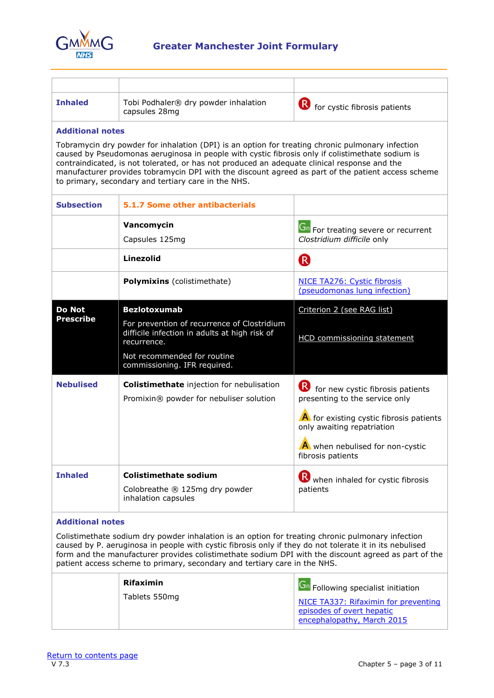

| <b>Inhaled</b>                                                                                                                                                                                                                                                                                                                                                                                    | Tobi Podhaler® dry powder inhalation<br>capsules 28mg                                                                                                                                                                                                                                                                                                                                                                                                             | <b>R</b> for cystic fibrosis patients                                                           |
|---------------------------------------------------------------------------------------------------------------------------------------------------------------------------------------------------------------------------------------------------------------------------------------------------------------------------------------------------------------------------------------------------|-------------------------------------------------------------------------------------------------------------------------------------------------------------------------------------------------------------------------------------------------------------------------------------------------------------------------------------------------------------------------------------------------------------------------------------------------------------------|-------------------------------------------------------------------------------------------------|
| <b>Additional notes</b>                                                                                                                                                                                                                                                                                                                                                                           |                                                                                                                                                                                                                                                                                                                                                                                                                                                                   |                                                                                                 |
|                                                                                                                                                                                                                                                                                                                                                                                                   | Tobramycin dry powder for inhalation (DPI) is an option for treating chronic pulmonary infection<br>caused by Pseudomonas aeruginosa in people with cystic fibrosis only if colistimethate sodium is<br>contraindicated, is not tolerated, or has not produced an adequate clinical response and the<br>manufacturer provides tobramycin DPI with the discount agreed as part of the patient access scheme<br>to primary, secondary and tertiary care in the NHS. |                                                                                                 |
| <b>Subsection</b>                                                                                                                                                                                                                                                                                                                                                                                 | 5.1.7 Some other antibacterials                                                                                                                                                                                                                                                                                                                                                                                                                                   |                                                                                                 |
|                                                                                                                                                                                                                                                                                                                                                                                                   | Vancomycin                                                                                                                                                                                                                                                                                                                                                                                                                                                        | <b>Gn</b> For treating severe or recurrent                                                      |
|                                                                                                                                                                                                                                                                                                                                                                                                   | Capsules 125mg                                                                                                                                                                                                                                                                                                                                                                                                                                                    | Clostridium difficile only                                                                      |
|                                                                                                                                                                                                                                                                                                                                                                                                   | Linezolid                                                                                                                                                                                                                                                                                                                                                                                                                                                         | R                                                                                               |
|                                                                                                                                                                                                                                                                                                                                                                                                   | <b>Polymixins</b> (colistimethate)                                                                                                                                                                                                                                                                                                                                                                                                                                | <b>NICE TA276: Cystic fibrosis</b><br>(pseudomonas lung infection)                              |
| <b>Do Not</b>                                                                                                                                                                                                                                                                                                                                                                                     | <b>Bezlotoxumab</b>                                                                                                                                                                                                                                                                                                                                                                                                                                               | Criterion 2 (see RAG list)                                                                      |
| <b>Prescribe</b>                                                                                                                                                                                                                                                                                                                                                                                  | For prevention of recurrence of Clostridium<br>difficile infection in adults at high risk of<br>recurrence.                                                                                                                                                                                                                                                                                                                                                       | <b>HCD commissioning statement</b>                                                              |
|                                                                                                                                                                                                                                                                                                                                                                                                   | Not recommended for routine<br>commissioning. IFR required.                                                                                                                                                                                                                                                                                                                                                                                                       |                                                                                                 |
| <b>Nebulised</b>                                                                                                                                                                                                                                                                                                                                                                                  | <b>Colistimethate</b> injection for nebulisation<br>Promixin® powder for nebuliser solution                                                                                                                                                                                                                                                                                                                                                                       | <b>B</b> for new cystic fibrosis patients<br>presenting to the service only                     |
|                                                                                                                                                                                                                                                                                                                                                                                                   |                                                                                                                                                                                                                                                                                                                                                                                                                                                                   | A for existing cystic fibrosis patients<br>only awaiting repatriation                           |
|                                                                                                                                                                                                                                                                                                                                                                                                   |                                                                                                                                                                                                                                                                                                                                                                                                                                                                   | A when nebulised for non-cystic<br>fibrosis patients                                            |
| <b>Inhaled</b>                                                                                                                                                                                                                                                                                                                                                                                    | <b>Colistimethate sodium</b><br>Colobreathe ® 125mg dry powder<br>inhalation capsules                                                                                                                                                                                                                                                                                                                                                                             | $\vert \mathsf{R} \vert$<br>when inhaled for cystic fibrosis<br>patients                        |
| <b>Additional notes</b>                                                                                                                                                                                                                                                                                                                                                                           |                                                                                                                                                                                                                                                                                                                                                                                                                                                                   |                                                                                                 |
| Colistimethate sodium dry powder inhalation is an option for treating chronic pulmonary infection<br>caused by P. aeruginosa in people with cystic fibrosis only if they do not tolerate it in its nebulised<br>form and the manufacturer provides colistimethate sodium DPI with the discount agreed as part of the<br>patient access scheme to primary, secondary and tertiary care in the NHS. |                                                                                                                                                                                                                                                                                                                                                                                                                                                                   |                                                                                                 |
|                                                                                                                                                                                                                                                                                                                                                                                                   | <b>Rifaximin</b>                                                                                                                                                                                                                                                                                                                                                                                                                                                  | <b>Gn</b> Following specialist initiation                                                       |
|                                                                                                                                                                                                                                                                                                                                                                                                   | Tablets 550mg                                                                                                                                                                                                                                                                                                                                                                                                                                                     | NICE TA337: Rifaximin for preventing<br>episodes of overt hepatic<br>encephalopathy, March 2015 |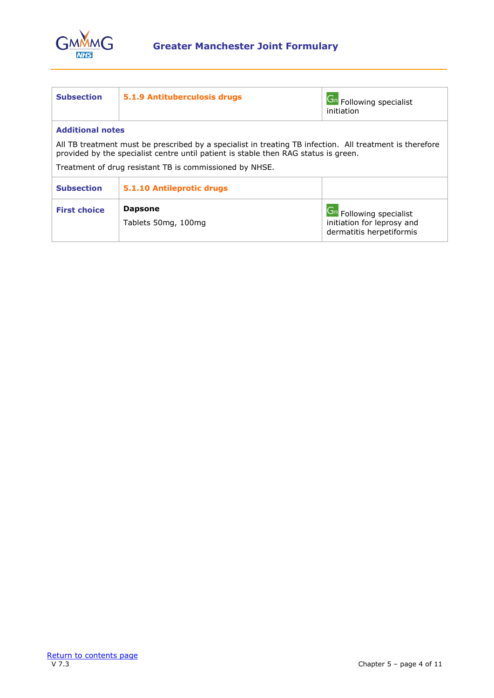

| <b>Subsection</b>                                                                                                                                                                               | 5.1.9 Antituberculosis drugs          | Gn Following specialist<br>initiation                                             |
|-------------------------------------------------------------------------------------------------------------------------------------------------------------------------------------------------|---------------------------------------|-----------------------------------------------------------------------------------|
| <b>Additional notes</b>                                                                                                                                                                         |                                       |                                                                                   |
| All TB treatment must be prescribed by a specialist in treating TB infection. All treatment is therefore<br>provided by the specialist centre until patient is stable then RAG status is green. |                                       |                                                                                   |
| Treatment of drug resistant TB is commissioned by NHSE.                                                                                                                                         |                                       |                                                                                   |
| <b>Subsection</b><br>5.1.10 Antileprotic drugs                                                                                                                                                  |                                       |                                                                                   |
| <b>First choice</b>                                                                                                                                                                             | <b>Dapsone</b><br>Tablets 50mg, 100mg | Gn Following specialist<br>initiation for leprosy and<br>dermatitis herpetiformis |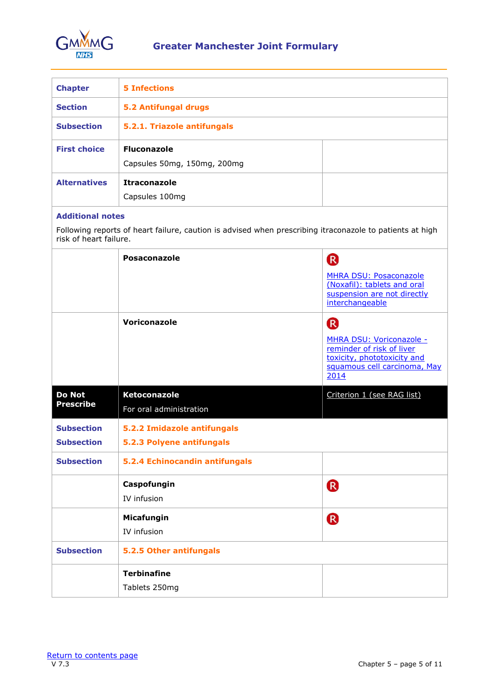

<span id="page-4-0"></span>

| <b>Chapter</b>                         | <b>5 Infections</b>                                                                                      |                                                              |  |
|----------------------------------------|----------------------------------------------------------------------------------------------------------|--------------------------------------------------------------|--|
| <b>Section</b>                         | <b>5.2 Antifungal drugs</b>                                                                              |                                                              |  |
| <b>Subsection</b>                      | 5.2.1. Triazole antifungals                                                                              |                                                              |  |
| <b>First choice</b>                    | <b>Fluconazole</b>                                                                                       |                                                              |  |
|                                        | Capsules 50mg, 150mg, 200mg                                                                              |                                                              |  |
| <b>Alternatives</b>                    | <b>Itraconazole</b>                                                                                      |                                                              |  |
|                                        | Capsules 100mg                                                                                           |                                                              |  |
| <b>Additional notes</b>                |                                                                                                          |                                                              |  |
| risk of heart failure.                 | Following reports of heart failure, caution is advised when prescribing itraconazole to patients at high |                                                              |  |
|                                        | Posaconazole                                                                                             | <sup>R</sup>                                                 |  |
|                                        |                                                                                                          | <b>MHRA DSU: Posaconazole</b><br>(Noxafil): tablets and oral |  |
|                                        |                                                                                                          | suspension are not directly                                  |  |
|                                        |                                                                                                          | interchangeable                                              |  |
|                                        | Voriconazole                                                                                             | R                                                            |  |
|                                        |                                                                                                          | MHRA DSU: Voriconazole -<br>reminder of risk of liver        |  |
|                                        |                                                                                                          | toxicity, phototoxicity and<br>squamous cell carcinoma, May  |  |
|                                        |                                                                                                          | 2014                                                         |  |
| <b>Do Not</b><br><b>Prescribe</b>      | Ketoconazole                                                                                             | Criterion 1 (see RAG list)                                   |  |
|                                        | For oral administration                                                                                  |                                                              |  |
| <b>Subsection</b><br><b>Subsection</b> | 5.2.2 Imidazole antifungals                                                                              |                                                              |  |
|                                        | 5.2.3 Polyene antifungals                                                                                |                                                              |  |
| <b>Subsection</b>                      | 5.2.4 Echinocandin antifungals                                                                           |                                                              |  |
|                                        | Caspofungin                                                                                              | R                                                            |  |
|                                        | IV infusion                                                                                              |                                                              |  |
|                                        | Micafungin                                                                                               | R                                                            |  |
|                                        | IV infusion                                                                                              |                                                              |  |
| <b>Subsection</b>                      | 5.2.5 Other antifungals                                                                                  |                                                              |  |
|                                        | <b>Terbinafine</b>                                                                                       |                                                              |  |
|                                        | Tablets 250mg                                                                                            |                                                              |  |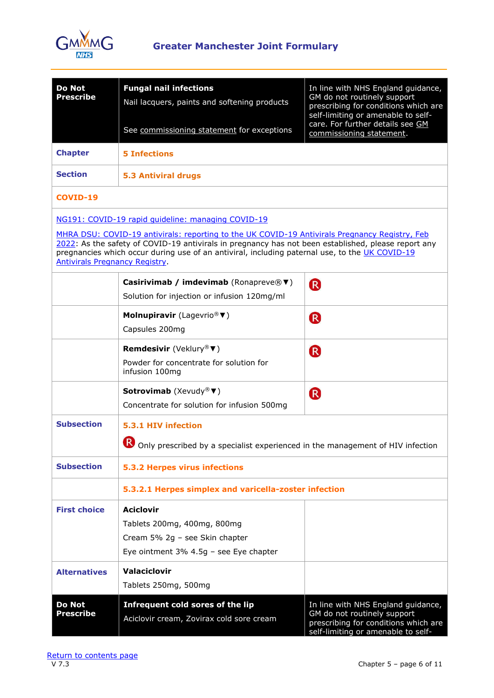

<span id="page-5-0"></span>

| <b>Do Not</b><br><b>Prescribe</b>     | <b>Fungal nail infections</b><br>Nail lacquers, paints and softening products                                                                                                                                                                                                                           | In line with NHS England guidance,<br>GM do not routinely support<br>prescribing for conditions which are<br>self-limiting or amenable to self- |
|---------------------------------------|---------------------------------------------------------------------------------------------------------------------------------------------------------------------------------------------------------------------------------------------------------------------------------------------------------|-------------------------------------------------------------------------------------------------------------------------------------------------|
|                                       | See commissioning statement for exceptions                                                                                                                                                                                                                                                              | care. For further details see GM<br>commissioning statement.                                                                                    |
| <b>Chapter</b>                        | <b>5 Infections</b>                                                                                                                                                                                                                                                                                     |                                                                                                                                                 |
| <b>Section</b>                        | <b>5.3 Antiviral drugs</b>                                                                                                                                                                                                                                                                              |                                                                                                                                                 |
| <b>COVID-19</b>                       |                                                                                                                                                                                                                                                                                                         |                                                                                                                                                 |
|                                       | NG191: COVID-19 rapid quideline: managing COVID-19                                                                                                                                                                                                                                                      |                                                                                                                                                 |
| <b>Antivirals Pregnancy Registry.</b> | MHRA DSU: COVID-19 antivirals: reporting to the UK COVID-19 Antivirals Pregnancy Registry, Feb<br>2022: As the safety of COVID-19 antivirals in pregnancy has not been established, please report any<br>pregnancies which occur during use of an antiviral, including paternal use, to the UK COVID-19 |                                                                                                                                                 |
|                                       | Casirivimab / imdevimab (Ronapreve® ▼)                                                                                                                                                                                                                                                                  | R                                                                                                                                               |
|                                       | Solution for injection or infusion 120mg/ml                                                                                                                                                                                                                                                             |                                                                                                                                                 |
|                                       | Molnupiravir (Lagevrio® ▼)<br>Capsules 200mg                                                                                                                                                                                                                                                            | ®                                                                                                                                               |
|                                       | <b>Remdesivir</b> (Veklury® $\Psi$ )                                                                                                                                                                                                                                                                    | R                                                                                                                                               |
|                                       | Powder for concentrate for solution for<br>infusion 100mg                                                                                                                                                                                                                                               |                                                                                                                                                 |
|                                       | <b>Sotrovimab</b> (Xevudy® $\nabla$ )<br>Concentrate for solution for infusion 500mg                                                                                                                                                                                                                    | ®                                                                                                                                               |
| <b>Subsection</b>                     | 5.3.1 HIV infection                                                                                                                                                                                                                                                                                     |                                                                                                                                                 |
|                                       | $\left( \mathsf{R}\right)$<br>Only prescribed by a specialist experienced in the management of HIV infection                                                                                                                                                                                            |                                                                                                                                                 |
| <b>Subsection</b>                     | <b>5.3.2 Herpes virus infections</b>                                                                                                                                                                                                                                                                    |                                                                                                                                                 |
|                                       | 5.3.2.1 Herpes simplex and varicella-zoster infection                                                                                                                                                                                                                                                   |                                                                                                                                                 |
| <b>First choice</b>                   | <b>Aciclovir</b>                                                                                                                                                                                                                                                                                        |                                                                                                                                                 |
|                                       | Tablets 200mg, 400mg, 800mg<br>Cream 5% 2g - see Skin chapter                                                                                                                                                                                                                                           |                                                                                                                                                 |
|                                       | Eye ointment $3\%$ 4.5g - see Eye chapter                                                                                                                                                                                                                                                               |                                                                                                                                                 |
| <b>Alternatives</b>                   | <b>Valaciclovir</b>                                                                                                                                                                                                                                                                                     |                                                                                                                                                 |
|                                       | Tablets 250mg, 500mg                                                                                                                                                                                                                                                                                    |                                                                                                                                                 |
| <b>Do Not</b><br><b>Prescribe</b>     | Infrequent cold sores of the lip<br>Aciclovir cream, Zovirax cold sore cream                                                                                                                                                                                                                            | In line with NHS England guidance,<br>GM do not routinely support<br>prescribing for conditions which are<br>self-limiting or amenable to self- |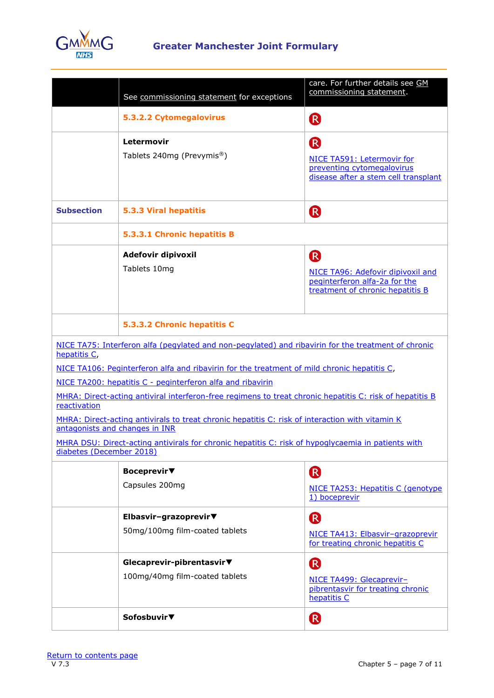

|                                | See commissioning statement for exceptions                                                               | care. For further details see GM<br>commissioning statement.                                           |  |
|--------------------------------|----------------------------------------------------------------------------------------------------------|--------------------------------------------------------------------------------------------------------|--|
|                                | 5.3.2.2 Cytomegalovirus                                                                                  | ®                                                                                                      |  |
|                                | Letermovir<br>Tablets 240mg (Prevymis®)                                                                  | R<br>NICE TA591: Letermovir for                                                                        |  |
|                                |                                                                                                          | preventing cytomegalovirus<br>disease after a stem cell transplant                                     |  |
| <b>Subsection</b>              | <b>5.3.3 Viral hepatitis</b>                                                                             | R                                                                                                      |  |
|                                | 5.3.3.1 Chronic hepatitis B                                                                              |                                                                                                        |  |
|                                | <b>Adefovir dipivoxil</b>                                                                                | R                                                                                                      |  |
|                                | Tablets 10mg                                                                                             | NICE TA96: Adefovir dipivoxil and<br>peginterferon alfa-2a for the<br>treatment of chronic hepatitis B |  |
| 5.3.3.2 Chronic hepatitis C    |                                                                                                          |                                                                                                        |  |
| hepatitis C,                   | NICE TA75: Interferon alfa (pegylated and non-pegylated) and ribavirin for the treatment of chronic      |                                                                                                        |  |
|                                | NICE TA106: Peginterferon alfa and ribavirin for the treatment of mild chronic hepatitis C,              |                                                                                                        |  |
|                                | NICE TA200: hepatitis C - peginterferon alfa and ribavirin                                               |                                                                                                        |  |
| reactivation                   | MHRA: Direct-acting antiviral interferon-free regimens to treat chronic hepatitis C: risk of hepatitis B |                                                                                                        |  |
| antagonists and changes in INR | MHRA: Direct-acting antivirals to treat chronic hepatitis C: risk of interaction with vitamin K          |                                                                                                        |  |
| diabetes (December 2018)       | MHRA DSU: Direct-acting antivirals for chronic hepatitis C: risk of hypoglycaemia in patients with       |                                                                                                        |  |
|                                | Boceprevir <sup>▼</sup>                                                                                  | ®                                                                                                      |  |
|                                | Capsules 200mg                                                                                           | NICE TA253: Hepatitis C (genotype<br>1) boceprevir                                                     |  |
|                                | Elbasvir-grazoprevir <sup>▼</sup>                                                                        | <b>R</b>                                                                                               |  |
|                                | 50mg/100mg film-coated tablets                                                                           | NICE TA413: Elbasvir-grazoprevir<br>for treating chronic hepatitis C                                   |  |
|                                | Glecaprevir-pibrentasvir▼                                                                                | R                                                                                                      |  |
|                                | 100mg/40mg film-coated tablets                                                                           | NICE TA499: Glecaprevir-<br>pibrentasvir for treating chronic<br>hepatitis C                           |  |
|                                | Sofosbuvir▼                                                                                              | R                                                                                                      |  |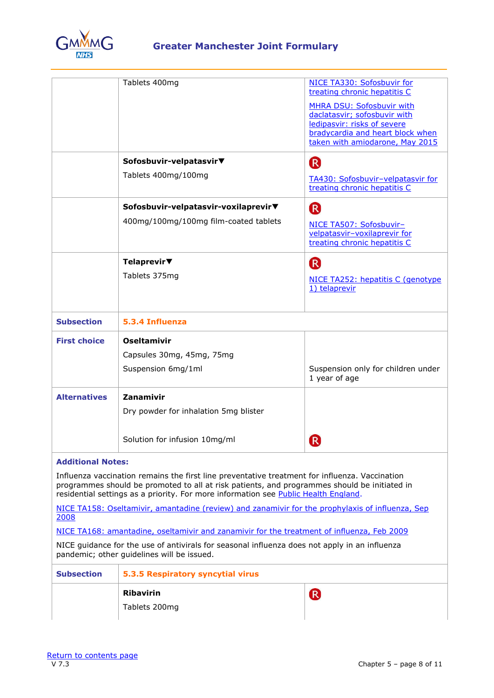

|                                                                                                | Tablets 400mg                         | NICE TA330: Sofosbuvir for<br>treating chronic hepatitis C          |
|------------------------------------------------------------------------------------------------|---------------------------------------|---------------------------------------------------------------------|
|                                                                                                |                                       | MHRA DSU: Sofosbuvir with                                           |
|                                                                                                |                                       | daclatasvir; sofosbuvir with                                        |
|                                                                                                |                                       | ledipasvir: risks of severe                                         |
|                                                                                                |                                       | bradycardia and heart block when<br>taken with amiodarone, May 2015 |
|                                                                                                | Sofosbuvir-velpatasvir▼               | R                                                                   |
|                                                                                                | Tablets 400mg/100mg                   | TA430: Sofosbuvir-velpatasvir for                                   |
|                                                                                                |                                       | treating chronic hepatitis C                                        |
|                                                                                                | Sofosbuvir-velpatasvir-voxilaprevir▼  | R                                                                   |
|                                                                                                | 400mg/100mg/100mg film-coated tablets | NICE TA507: Sofosbuvir-                                             |
|                                                                                                |                                       | velpatasvir-voxilaprevir for                                        |
|                                                                                                |                                       | treating chronic hepatitis C                                        |
|                                                                                                | Telaprevir <sup>▼</sup>               | <sup>R</sup>                                                        |
|                                                                                                | Tablets 375mg                         | NICE TA252: hepatitis C (genotype                                   |
|                                                                                                |                                       | 1) telaprevir                                                       |
|                                                                                                |                                       |                                                                     |
| <b>Subsection</b>                                                                              | 5.3.4 Influenza                       |                                                                     |
| <b>First choice</b>                                                                            | <b>Oseltamivir</b>                    |                                                                     |
|                                                                                                | Capsules 30mg, 45mg, 75mg             |                                                                     |
|                                                                                                | Suspension 6mg/1ml                    | Suspension only for children under<br>1 year of age                 |
| <b>Alternatives</b>                                                                            | Zanamivir                             |                                                                     |
|                                                                                                | Dry powder for inhalation 5mg blister |                                                                     |
|                                                                                                | Solution for infusion 10mg/ml         | R                                                                   |
| <b>Additional Notes:</b>                                                                       |                                       |                                                                     |
| Influenza vaccination remains the first line preventative treatment for influenza. Vaccination |                                       |                                                                     |

programmes should be promoted to all at risk patients, and programmes should be initiated in residential settings as a priority. For more information see [Public Health England.](https://www.gov.uk/government/organisations/public-health-england)

[NICE TA158: Oseltamivir, amantadine \(review\) and zanamivir for the prophylaxis of influenza, Sep](http://guidance.nice.org.uk/TA158/Guidance/pdf/English)  [2008](http://guidance.nice.org.uk/TA158/Guidance/pdf/English)

[NICE TA168: amantadine, oseltamivir and zanamivir for the treatment of influenza, Feb 2009](http://guidance.nice.org.uk/TA168/Guidance/pdf/English)

NICE guidance for the use of antivirals for seasonal influenza does not apply in an influenza pandemic; other guidelines will be issued.

| <b>Subsection</b> | 5.3.5 Respiratory syncytial virus |   |
|-------------------|-----------------------------------|---|
|                   | <b>Ribavirin</b><br>Tablets 200mg | R |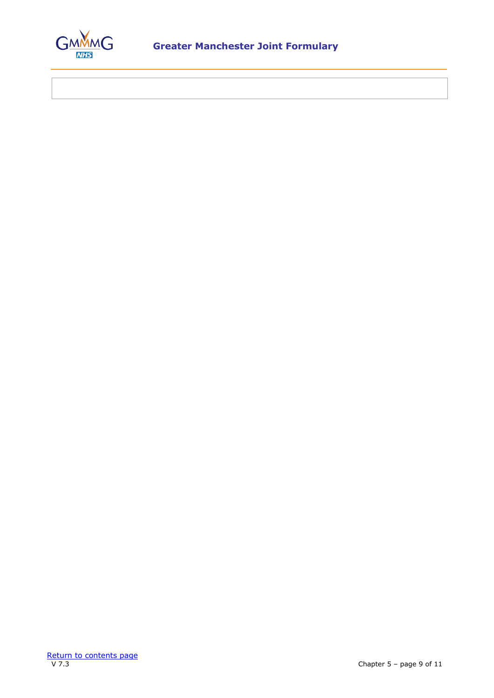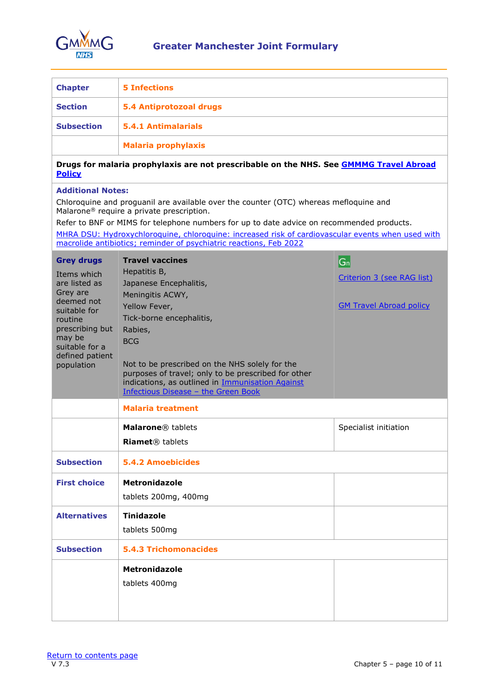

<span id="page-9-0"></span>

| <b>Chapter</b>    | <b>5 Infections</b>                                                                    |
|-------------------|----------------------------------------------------------------------------------------|
| <b>Section</b>    | 5.4 Antiprotozoal drugs                                                                |
| <b>Subsection</b> | 5.4.1 Antimalarials                                                                    |
|                   | <b>Malaria prophylaxis</b>                                                             |
| <b>Policy</b>     | Drugs for malaria prophylaxis are not prescribable on the NHS. See GMMMG Travel Abroad |

#### **Additional Notes:**

Chloroquine and proguanil are available over the counter (OTC) whereas mefloquine and Malarone® require a private prescription.

Refer to BNF or MIMS for telephone numbers for up to date advice on recommended products.

[MHRA DSU: Hydroxychloroquine, chloroquine: increased risk of cardiovascular events when used with](https://www.gov.uk/drug-safety-update/hydroxychloroquine-chloroquine-increased-risk-of-cardiovascular-events-when-used-with-macrolide-antibiotics-reminder-of-psychiatric-reactions)  [macrolide antibiotics; reminder of psychiatric reactions, Feb 2022](https://www.gov.uk/drug-safety-update/hydroxychloroquine-chloroquine-increased-risk-of-cardiovascular-events-when-used-with-macrolide-antibiotics-reminder-of-psychiatric-reactions)

| <b>Grey drugs</b><br>Items which<br>are listed as<br>Grey are<br>deemed not<br>suitable for<br>routine<br>prescribing but<br>may be<br>suitable for a<br>defined patient<br>population | <b>Travel vaccines</b><br>Hepatitis B,<br>Japanese Encephalitis,<br>Meningitis ACWY,<br>Yellow Fever,<br>Tick-borne encephalitis,<br>Rabies,<br><b>BCG</b><br>Not to be prescribed on the NHS solely for the<br>purposes of travel; only to be prescribed for other<br>indications, as outlined in <b>Immunisation Against</b><br>Infectious Disease - the Green Book | G <sub>n</sub><br>Criterion 3 (see RAG list)<br><b>GM Travel Abroad policy</b> |
|----------------------------------------------------------------------------------------------------------------------------------------------------------------------------------------|-----------------------------------------------------------------------------------------------------------------------------------------------------------------------------------------------------------------------------------------------------------------------------------------------------------------------------------------------------------------------|--------------------------------------------------------------------------------|
|                                                                                                                                                                                        | <b>Malaria treatment</b>                                                                                                                                                                                                                                                                                                                                              |                                                                                |
|                                                                                                                                                                                        | <b>Malarone</b> ® tablets<br><b>Riamet®</b> tablets                                                                                                                                                                                                                                                                                                                   | Specialist initiation                                                          |
| <b>Subsection</b>                                                                                                                                                                      | <b>5.4.2 Amoebicides</b>                                                                                                                                                                                                                                                                                                                                              |                                                                                |
| <b>First choice</b>                                                                                                                                                                    | <b>Metronidazole</b><br>tablets 200mg, 400mg                                                                                                                                                                                                                                                                                                                          |                                                                                |
| <b>Alternatives</b>                                                                                                                                                                    | <b>Tinidazole</b><br>tablets 500mg                                                                                                                                                                                                                                                                                                                                    |                                                                                |
| <b>Subsection</b>                                                                                                                                                                      | <b>5.4.3 Trichomonacides</b>                                                                                                                                                                                                                                                                                                                                          |                                                                                |
|                                                                                                                                                                                        | <b>Metronidazole</b><br>tablets 400mg                                                                                                                                                                                                                                                                                                                                 |                                                                                |